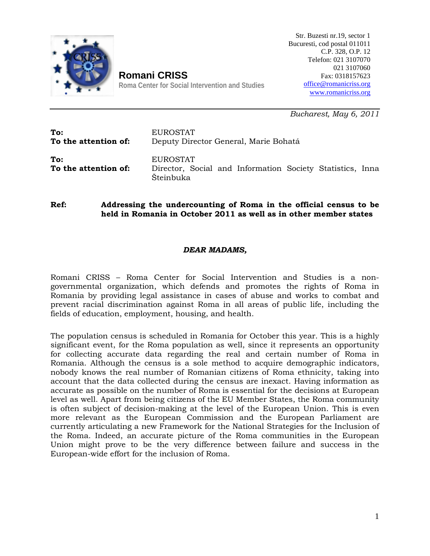

Str. Buzesti nr.19, sector 1 Bucuresti, cod postal 011011 C.P. 328, O.P. 12 Telefon: 021 3107070 021 3107060 Fax: 0318157623 [office@romanicriss.org](mailto:office@romanicriss.org) [www.romanicriss.org](http://www.romanicriss.org/)

**Roma Center for Social Intervention and Studies** 

**Romani CRISS**

*Bucharest, May 6, 2011*

| To:                         | EUROSTAT                                                                           |
|-----------------------------|------------------------------------------------------------------------------------|
| To the attention of:        | Deputy Director General, Marie Bohatá                                              |
| To:<br>To the attention of: | EUROSTAT<br>Director, Social and Information Society Statistics, Inna<br>Šteinbuka |

**Ref: Addressing the undercounting of Roma in the official census to be held in Romania in October 2011 as well as in other member states**

## *DEAR MADAMS,*

Romani CRISS – Roma Center for Social Intervention and Studies is a nongovernmental organization, which defends and promotes the rights of Roma in Romania by providing legal assistance in cases of abuse and works to combat and prevent racial discrimination against Roma in all areas of public life, including the fields of education, employment, housing, and health.

The population census is scheduled in Romania for October this year. This is a highly significant event, for the Roma population as well, since it represents an opportunity for collecting accurate data regarding the real and certain number of Roma in Romania. Although the census is a sole method to acquire demographic indicators, nobody knows the real number of Romanian citizens of Roma ethnicity, taking into account that the data collected during the census are inexact. Having information as accurate as possible on the number of Roma is essential for the decisions at European level as well. Apart from being citizens of the EU Member States, the Roma community is often subject of decision-making at the level of the European Union. This is even more relevant as the European Commission and the European Parliament are currently articulating a new Framework for the National Strategies for the Inclusion of the Roma. Indeed, an accurate picture of the Roma communities in the European Union might prove to be the very difference between failure and success in the European-wide effort for the inclusion of Roma.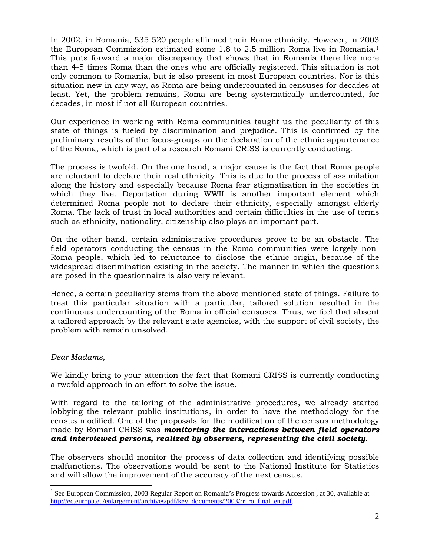In 2002, in Romania, 535 520 people affirmed their Roma ethnicity. However, in 2003 the European Commission estimated some 1.8 to 2.5 million Roma live in Romania.[1](#page-1-0) This puts forward a major discrepancy that shows that in Romania there live more than 4-5 times Roma than the ones who are officially registered. This situation is not only common to Romania, but is also present in most European countries. Nor is this situation new in any way, as Roma are being undercounted in censuses for decades at least. Yet, the problem remains, Roma are being systematically undercounted, for decades, in most if not all European countries.

Our experience in working with Roma communities taught us the peculiarity of this state of things is fueled by discrimination and prejudice. This is confirmed by the preliminary results of the focus-groups on the declaration of the ethnic appurtenance of the Roma, which is part of a research Romani CRISS is currently conducting.

The process is twofold. On the one hand, a major cause is the fact that Roma people are reluctant to declare their real ethnicity. This is due to the process of assimilation along the history and especially because Roma fear stigmatization in the societies in which they live. Deportation during WWII is another important element which determined Roma people not to declare their ethnicity, especially amongst elderly Roma. The lack of trust in local authorities and certain difficulties in the use of terms such as ethnicity, nationality, citizenship also plays an important part.

On the other hand, certain administrative procedures prove to be an obstacle. The field operators conducting the census in the Roma communities were largely non-Roma people, which led to reluctance to disclose the ethnic origin, because of the widespread discrimination existing in the society. The manner in which the questions are posed in the questionnaire is also very relevant.

Hence, a certain peculiarity stems from the above mentioned state of things. Failure to treat this particular situation with a particular, tailored solution resulted in the continuous undercounting of the Roma in official censuses. Thus, we feel that absent a tailored approach by the relevant state agencies, with the support of civil society, the problem with remain unsolved.

## *Dear Madams,*

We kindly bring to your attention the fact that Romani CRISS is currently conducting a twofold approach in an effort to solve the issue.

With regard to the tailoring of the administrative procedures, we already started lobbying the relevant public institutions, in order to have the methodology for the census modified. One of the proposals for the modification of the census methodology made by Romani CRISS was *monitoring the interactions between field operators and interviewed persons, realized by observers, representing the civil society.* 

The observers should monitor the process of data collection and identifying possible malfunctions. The observations would be sent to the National Institute for Statistics and will allow the improvement of the accuracy of the next census.

<span id="page-1-0"></span><sup>&</sup>lt;sup>1</sup> See European Commission, 2003 Regular Report on Romania's Progress towards Accession, at 30, available at [http://ec.europa.eu/enlargement/archives/pdf/key\\_documents/2003/rr\\_ro\\_final\\_en.pdf.](http://ec.europa.eu/enlargement/archives/pdf/key_documents/2003/rr_ro_final_en.pdf)